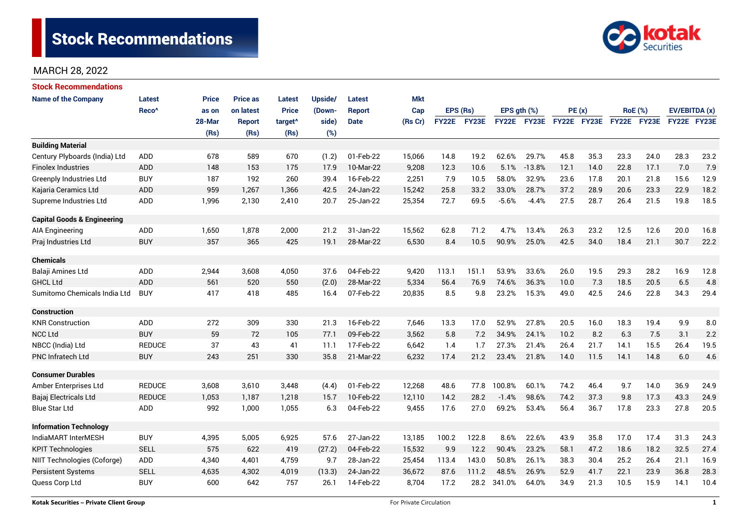# Stock Recommendations



# MARCH 28, 2022

| Stock Recommendations                  |                   |        |                 |                     |         |               |            |              |       |             |             |             |      |                |      |               |      |
|----------------------------------------|-------------------|--------|-----------------|---------------------|---------|---------------|------------|--------------|-------|-------------|-------------|-------------|------|----------------|------|---------------|------|
| <b>Name of the Company</b>             | <b>Latest</b>     | Price  | <b>Price as</b> | Latest              | Upside/ | Latest        | <b>Mkt</b> |              |       |             |             |             |      |                |      |               |      |
|                                        | Reco <sup>^</sup> | as on  | on latest       | <b>Price</b>        | (Down-  | <b>Report</b> | Cap        | EPS (Rs)     |       | EPS gth (%) |             | PE(x)       |      | <b>RoE</b> (%) |      | EV/EBITDA (x) |      |
|                                        |                   | 28-Mar | Report          | target <sup>^</sup> | side)   | <b>Date</b>   | (Rs Cr)    | <b>FY22E</b> | FY23E |             | FY22E FY23E | FY22E FY23E |      | FY22E FY23E    |      | FY22E FY23E   |      |
|                                        |                   | (Rs)   | (Rs)            | (Rs)                | (%)     |               |            |              |       |             |             |             |      |                |      |               |      |
| <b>Building Material</b>               |                   |        |                 |                     |         |               |            |              |       |             |             |             |      |                |      |               |      |
| Century Plyboards (India) Ltd          | <b>ADD</b>        | 678    | 589             | 670                 | (1.2)   | 01-Feb-22     | 15,066     | 14.8         | 19.2  | 62.6%       | 29.7%       | 45.8        | 35.3 | 23.3           | 24.0 | 28.3          | 23.2 |
| <b>Finolex Industries</b>              | <b>ADD</b>        | 148    | 153             | 175                 | 17.9    | 10-Mar-22     | 9,208      | 12.3         | 10.6  | 5.1%        | $-13.8%$    | 12.1        | 14.0 | 22.8           | 17.1 | 7.0           | 7.9  |
| <b>Greenply Industries Ltd</b>         | <b>BUY</b>        | 187    | 192             | 260                 | 39.4    | 16-Feb-22     | 2,251      | 7.9          | 10.5  | 58.0%       | 32.9%       | 23.6        | 17.8 | 20.1           | 21.8 | 15.6          | 12.9 |
| Kajaria Ceramics Ltd                   | <b>ADD</b>        | 959    | 1,267           | 1,366               | 42.5    | 24-Jan-22     | 15,242     | 25.8         | 33.2  | 33.0%       | 28.7%       | 37.2        | 28.9 | 20.6           | 23.3 | 22.9          | 18.2 |
| Supreme Industries Ltd                 | ADD               | 1,996  | 2,130           | 2,410               | 20.7    | 25-Jan-22     | 25,354     | 72.7         | 69.5  | $-5.6%$     | $-4.4%$     | 27.5        | 28.7 | 26.4           | 21.5 | 19.8          | 18.5 |
| <b>Capital Goods &amp; Engineering</b> |                   |        |                 |                     |         |               |            |              |       |             |             |             |      |                |      |               |      |
| AIA Engineering                        | ADD               | 1,650  | 1,878           | 2,000               | 21.2    | 31-Jan-22     | 15,562     | 62.8         | 71.2  | 4.7%        | 13.4%       | 26.3        | 23.2 | 12.5           | 12.6 | 20.0          | 16.8 |
| Praj Industries Ltd                    | <b>BUY</b>        | 357    | 365             | 425                 | 19.1    | 28-Mar-22     | 6,530      | 8.4          | 10.5  | 90.9%       | 25.0%       | 42.5        | 34.0 | 18.4           | 21.1 | 30.7          | 22.2 |
| <b>Chemicals</b>                       |                   |        |                 |                     |         |               |            |              |       |             |             |             |      |                |      |               |      |
| Balaji Amines Ltd                      | <b>ADD</b>        | 2,944  | 3,608           | 4,050               | 37.6    | 04-Feb-22     | 9,420      | 113.1        | 151.1 | 53.9%       | 33.6%       | 26.0        | 19.5 | 29.3           | 28.2 | 16.9          | 12.8 |
| <b>GHCL Ltd</b>                        | ADD               | 561    | 520             | 550                 | (2.0)   | 28-Mar-22     | 5,334      | 56.4         | 76.9  | 74.6%       | 36.3%       | 10.0        | 7.3  | 18.5           | 20.5 | 6.5           | 4.8  |
| Sumitomo Chemicals India Ltd           | <b>BUY</b>        | 417    | 418             | 485                 | 16.4    | 07-Feb-22     | 20,835     | 8.5          | 9.8   | 23.2%       | 15.3%       | 49.0        | 42.5 | 24.6           | 22.8 | 34.3          | 29.4 |
| <b>Construction</b>                    |                   |        |                 |                     |         |               |            |              |       |             |             |             |      |                |      |               |      |
| <b>KNR Construction</b>                | <b>ADD</b>        | 272    | 309             | 330                 | 21.3    | 16-Feb-22     | 7.646      | 13.3         | 17.0  | 52.9%       | 27.8%       | 20.5        | 16.0 | 18.3           | 19.4 | 9.9           | 8.0  |
| <b>NCC Ltd</b>                         | <b>BUY</b>        | 59     | 72              | 105                 | 77.1    | 09-Feb-22     | 3,562      | 5.8          | 7.2   | 34.9%       | 24.1%       | 10.2        | 8.2  | 6.3            | 7.5  | 3.1           | 2.2  |
| NBCC (India) Ltd                       | <b>REDUCE</b>     | 37     | 43              | 41                  | 11.1    | 17-Feb-22     | 6,642      | 1.4          | 1.7   | 27.3%       | 21.4%       | 26.4        | 21.7 | 14.1           | 15.5 | 26.4          | 19.5 |
| <b>PNC Infratech Ltd</b>               | <b>BUY</b>        | 243    | 251             | 330                 | 35.8    | 21-Mar-22     | 6,232      | 17.4         | 21.2  | 23.4%       | 21.8%       | 14.0        | 11.5 | 14.1           | 14.8 | 6.0           | 4.6  |
| <b>Consumer Durables</b>               |                   |        |                 |                     |         |               |            |              |       |             |             |             |      |                |      |               |      |
| Amber Enterprises Ltd                  | <b>REDUCE</b>     | 3,608  | 3,610           | 3,448               | (4.4)   | 01-Feb-22     | 12,268     | 48.6         | 77.8  | 100.8%      | 60.1%       | 74.2        | 46.4 | 9.7            | 14.0 | 36.9          | 24.9 |
| Bajaj Electricals Ltd                  | <b>REDUCE</b>     | 1,053  | 1,187           | 1,218               | 15.7    | 10-Feb-22     | 12,110     | 14.2         | 28.2  | $-1.4%$     | 98.6%       | 74.2        | 37.3 | 9.8            | 17.3 | 43.3          | 24.9 |
| <b>Blue Star Ltd</b>                   | <b>ADD</b>        | 992    | 1,000           | 1,055               | 6.3     | 04-Feb-22     | 9,455      | 17.6         | 27.0  | 69.2%       | 53.4%       | 56.4        | 36.7 | 17.8           | 23.3 | 27.8          | 20.5 |
| <b>Information Technology</b>          |                   |        |                 |                     |         |               |            |              |       |             |             |             |      |                |      |               |      |
| IndiaMART InterMESH                    | <b>BUY</b>        | 4,395  | 5,005           | 6,925               | 57.6    | 27-Jan-22     | 13,185     | 100.2        | 122.8 | 8.6%        | 22.6%       | 43.9        | 35.8 | 17.0           | 17.4 | 31.3          | 24.3 |
| <b>KPIT Technologies</b>               | <b>SELL</b>       | 575    | 622             | 419                 | (27.2)  | 04-Feb-22     | 15,532     | 9.9          | 12.2  | 90.4%       | 23.2%       | 58.1        | 47.2 | 18.6           | 18.2 | 32.5          | 27.4 |
| NIIT Technologies (Coforge)            | ADD               | 4,340  | 4,401           | 4,759               | 9.7     | 28-Jan-22     | 25,454     | 113.4        | 143.0 | 50.8%       | 26.1%       | 38.3        | 30.4 | 25.2           | 26.4 | 21.1          | 16.9 |
| <b>Persistent Systems</b>              | <b>SELL</b>       | 4,635  | 4,302           | 4,019               | (13.3)  | 24-Jan-22     | 36,672     | 87.6         | 111.2 | 48.5%       | 26.9%       | 52.9        | 41.7 | 22.1           | 23.9 | 36.8          | 28.3 |
| Quess Corp Ltd                         | <b>BUY</b>        | 600    | 642             | 757                 | 26.1    | 14-Feb-22     | 8,704      | 17.2         | 28.2  | 341.0%      | 64.0%       | 34.9        | 21.3 | 10.5           | 15.9 | 14.1          | 10.4 |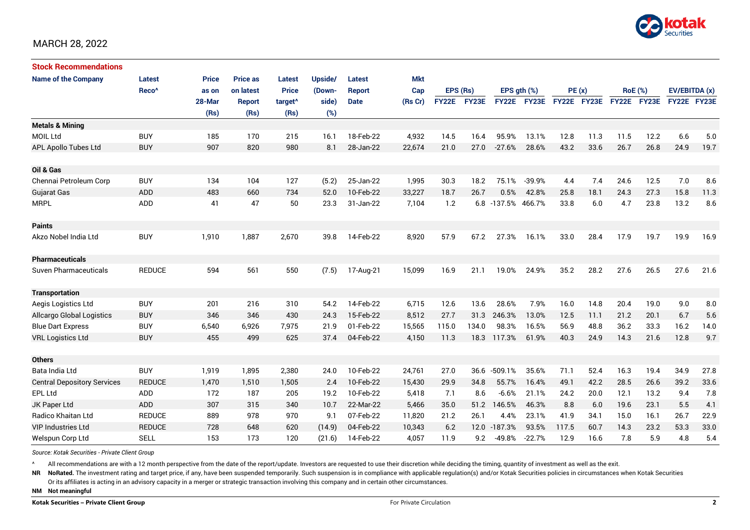

#### MARCH 28, 2022

| <b>Stock Recommendations</b>       |                   |              |                 |                     |         |               |            |              |       |                    |                  |             |      |                |      |               |      |
|------------------------------------|-------------------|--------------|-----------------|---------------------|---------|---------------|------------|--------------|-------|--------------------|------------------|-------------|------|----------------|------|---------------|------|
| <b>Name of the Company</b>         | Latest            | <b>Price</b> | <b>Price as</b> | <b>Latest</b>       | Upside/ | <b>Latest</b> | <b>Mkt</b> |              |       |                    |                  |             |      |                |      |               |      |
|                                    | Reco <sup>^</sup> | as on        | on latest       | <b>Price</b>        | (Down-  | <b>Report</b> | Cap        | EPS (Rs)     |       |                    | EPS $qth$ $(\%)$ | PE(x)       |      | <b>RoE</b> (%) |      | EV/EBITDA (x) |      |
|                                    |                   | 28-Mar       | <b>Report</b>   | target <sup>^</sup> | side)   | <b>Date</b>   | (Rs Cr)    | <b>FY22E</b> | FY23E |                    | FY22E FY23E      | FY22E FY23E |      | FY22E FY23E    |      | FY22E FY23E   |      |
|                                    |                   | (Rs)         | (Rs)            | (Rs)                | (%)     |               |            |              |       |                    |                  |             |      |                |      |               |      |
| <b>Metals &amp; Mining</b>         |                   |              |                 |                     |         |               |            |              |       |                    |                  |             |      |                |      |               |      |
| <b>MOIL Ltd</b>                    | <b>BUY</b>        | 185          | 170             | 215                 | 16.1    | 18-Feb-22     | 4,932      | 14.5         | 16.4  | 95.9%              | 13.1%            | 12.8        | 11.3 | 11.5           | 12.2 | 6.6           | 5.0  |
| APL Apollo Tubes Ltd               | <b>BUY</b>        | 907          | 820             | 980                 | 8.1     | 28-Jan-22     | 22,674     | 21.0         | 27.0  | $-27.6%$           | 28.6%            | 43.2        | 33.6 | 26.7           | 26.8 | 24.9          | 19.7 |
|                                    |                   |              |                 |                     |         |               |            |              |       |                    |                  |             |      |                |      |               |      |
| Oil & Gas                          |                   |              |                 |                     |         |               |            |              |       |                    |                  |             |      |                |      |               |      |
| Chennai Petroleum Corp             | <b>BUY</b>        | 134          | 104             | 127                 | (5.2)   | 25-Jan-22     | 1,995      | 30.3         | 18.2  | 75.1%              | $-39.9%$         | 4.4         | 7.4  | 24.6           | 12.5 | 7.0           | 8.6  |
| <b>Gujarat Gas</b>                 | <b>ADD</b>        | 483          | 660             | 734                 | 52.0    | 10-Feb-22     | 33,227     | 18.7         | 26.7  | 0.5%               | 42.8%            | 25.8        | 18.1 | 24.3           | 27.3 | 15.8          | 11.3 |
| <b>MRPL</b>                        | <b>ADD</b>        | 41           | 47              | 50                  | 23.3    | 31-Jan-22     | 7.104      | 1.2          |       | 6.8 -137.5% 466.7% |                  | 33.8        | 6.0  | 4.7            | 23.8 | 13.2          | 8.6  |
|                                    |                   |              |                 |                     |         |               |            |              |       |                    |                  |             |      |                |      |               |      |
| <b>Paints</b>                      |                   |              |                 |                     |         |               |            |              |       |                    |                  |             |      |                |      |               |      |
| Akzo Nobel India Ltd               | <b>BUY</b>        | 1,910        | 1,887           | 2,670               | 39.8    | 14-Feb-22     | 8,920      | 57.9         | 67.2  | 27.3%              | 16.1%            | 33.0        | 28.4 | 17.9           | 19.7 | 19.9          | 16.9 |
|                                    |                   |              |                 |                     |         |               |            |              |       |                    |                  |             |      |                |      |               |      |
| <b>Pharmaceuticals</b>             |                   |              |                 |                     |         |               |            |              |       |                    |                  |             |      |                |      |               |      |
| Suven Pharmaceuticals              | <b>REDUCE</b>     | 594          | 561             | 550                 | (7.5)   | 17-Aug-21     | 15,099     | 16.9         | 21.1  | 19.0%              | 24.9%            | 35.2        | 28.2 | 27.6           | 26.5 | 27.6          | 21.6 |
|                                    |                   |              |                 |                     |         |               |            |              |       |                    |                  |             |      |                |      |               |      |
| <b>Transportation</b>              |                   |              |                 |                     |         |               |            |              |       |                    |                  |             |      |                |      |               |      |
| Aegis Logistics Ltd                | <b>BUY</b>        | 201          | 216             | 310                 | 54.2    | 14-Feb-22     | 6,715      | 12.6         | 13.6  | 28.6%              | 7.9%             | 16.0        | 14.8 | 20.4           | 19.0 | 9.0           | 8.0  |
| <b>Allcargo Global Logistics</b>   | <b>BUY</b>        | 346          | 346             | 430                 | 24.3    | 15-Feb-22     | 8,512      | 27.7         | 31.3  | 246.3%             | 13.0%            | 12.5        | 11.1 | 21.2           | 20.1 | 6.7           | 5.6  |
| <b>Blue Dart Express</b>           | <b>BUY</b>        | 6,540        | 6,926           | 7,975               | 21.9    | 01-Feb-22     | 15,565     | 115.0        | 134.0 | 98.3%              | 16.5%            | 56.9        | 48.8 | 36.2           | 33.3 | 16.2          | 14.0 |
| <b>VRL Logistics Ltd</b>           | <b>BUY</b>        | 455          | 499             | 625                 | 37.4    | 04-Feb-22     | 4,150      | 11.3         | 18.3  | 117.3%             | 61.9%            | 40.3        | 24.9 | 14.3           | 21.6 | 12.8          | 9.7  |
|                                    |                   |              |                 |                     |         |               |            |              |       |                    |                  |             |      |                |      |               |      |
| <b>Others</b>                      |                   |              |                 |                     |         |               |            |              |       |                    |                  |             |      |                |      |               |      |
| Bata India Ltd                     | <b>BUY</b>        | 1,919        | 1,895           | 2,380               | 24.0    | 10-Feb-22     | 24,761     | 27.0         | 36.6  | $-509.1%$          | 35.6%            | 71.1        | 52.4 | 16.3           | 19.4 | 34.9          | 27.8 |
| <b>Central Depository Services</b> | <b>REDUCE</b>     | 1,470        | 1,510           | 1,505               | 2.4     | 10-Feb-22     | 15,430     | 29.9         | 34.8  | 55.7%              | 16.4%            | 49.1        | 42.2 | 28.5           | 26.6 | 39.2          | 33.6 |
| <b>EPL Ltd</b>                     | ADD               | 172          | 187             | 205                 | 19.2    | 10-Feb-22     | 5,418      | 7.1          | 8.6   | $-6.6%$            | 21.1%            | 24.2        | 20.0 | 12.1           | 13.2 | 9.4           | 7.8  |
| JK Paper Ltd                       | ADD               | 307          | 315             | 340                 | 10.7    | 22-Mar-22     | 5,466      | 35.0         | 51.2  | 146.5%             | 46.3%            | 8.8         | 6.0  | 19.6           | 23.1 | 5.5           | 4.1  |
| Radico Khaitan Ltd                 | <b>REDUCE</b>     | 889          | 978             | 970                 | 9.1     | 07-Feb-22     | 11,820     | 21.2         | 26.1  | 4.4%               | 23.1%            | 41.9        | 34.1 | 15.0           | 16.1 | 26.7          | 22.9 |
| <b>VIP Industries Ltd</b>          | <b>REDUCE</b>     | 728          | 648             | 620                 | (14.9)  | 04-Feb-22     | 10,343     | 6.2          |       | 12.0 -187.3%       | 93.5%            | 117.5       | 60.7 | 14.3           | 23.2 | 53.3          | 33.0 |
| Welspun Corp Ltd                   | <b>SELL</b>       | 153          | 173             | 120                 | (21.6)  | 14-Feb-22     | 4,057      | 11.9         | 9.2   | $-49.8%$           | $-22.7%$         | 12.9        | 16.6 | 7.8            | 5.9  | 4.8           | 5.4  |

*Source: Kotak Securities - Private Client Group*

^ All recommendations are with a 12 month perspective from the date of the report/update. Investors are requested to use their discretion while deciding the timing, quantity of investment as well as the exit.

NR NoRated. The investment rating and target price, if any, have been suspended temporarily. Such suspension is in compliance with applicable regulation(s) and/or Kotak Securities policies in circumstances when Kotak Secur Or its affiliates is acting in an advisory capacity in a merger or strategic transaction involving this company and in certain other circumstances.

**NM Not meaningful**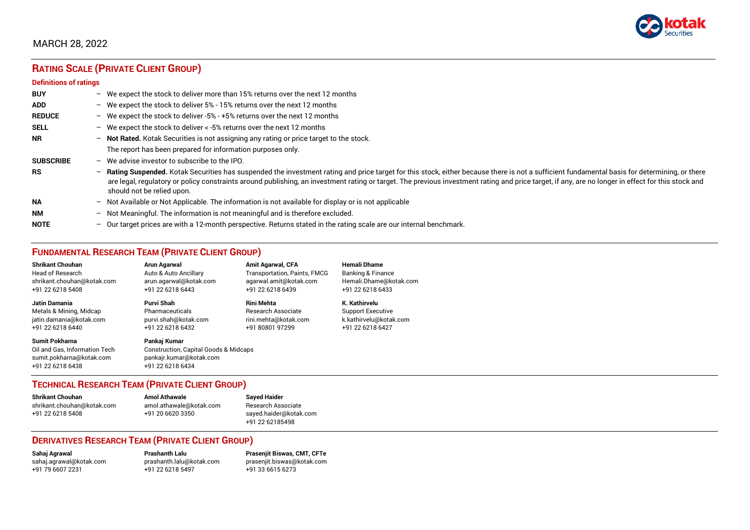

# MARCH 28, 2022

# **RATING SCALE (PRIVATE CLIENT GROUP)**

#### **Definitions of ratings**

| <b>BUY</b>       | - We expect the stock to deliver more than 15% returns over the next 12 months                                                                                                                                                                                                                                                                                                                                                     |
|------------------|------------------------------------------------------------------------------------------------------------------------------------------------------------------------------------------------------------------------------------------------------------------------------------------------------------------------------------------------------------------------------------------------------------------------------------|
| <b>ADD</b>       | - We expect the stock to deliver 5% - 15% returns over the next 12 months                                                                                                                                                                                                                                                                                                                                                          |
| <b>REDUCE</b>    | - We expect the stock to deliver -5% - +5% returns over the next 12 months                                                                                                                                                                                                                                                                                                                                                         |
| <b>SELL</b>      | - We expect the stock to deliver $\lt$ -5% returns over the next 12 months                                                                                                                                                                                                                                                                                                                                                         |
| <b>NR</b>        | - Not Rated. Kotak Securities is not assigning any rating or price target to the stock.                                                                                                                                                                                                                                                                                                                                            |
|                  | The report has been prepared for information purposes only.                                                                                                                                                                                                                                                                                                                                                                        |
| <b>SUBSCRIBE</b> | $-$ We advise investor to subscribe to the IPO.                                                                                                                                                                                                                                                                                                                                                                                    |
| <b>RS</b>        | - Rating Suspended. Kotak Securities has suspended the investment rating and price target for this stock, either because there is not a sufficient fundamental basis for determining, or there<br>are legal, regulatory or policy constraints around publishing, an investment rating or target. The previous investment rating and price target, if any, are no longer in effect for this stock and<br>should not be relied upon. |
| <b>NA</b>        | $-$ Not Available or Not Applicable. The information is not available for display or is not applicable                                                                                                                                                                                                                                                                                                                             |
| <b>NM</b>        | - Not Meaningful. The information is not meaningful and is therefore excluded.                                                                                                                                                                                                                                                                                                                                                     |
| <b>NOTE</b>      | $-$ Our target prices are with a 12-month perspective. Returns stated in the rating scale are our internal benchmark.                                                                                                                                                                                                                                                                                                              |

# **FUNDAMENTAL RESEARCH TEAM (PRIVATE CLIENT GROUP)**

| <b>Shrikant Chouhan</b>                                                                                | <b>Arun Agarwal</b>                                                                                             | <b>Amit Agarwal, CFA</b>     | <b>Hemali Dhame</b>          |
|--------------------------------------------------------------------------------------------------------|-----------------------------------------------------------------------------------------------------------------|------------------------------|------------------------------|
| Head of Research                                                                                       | Auto & Auto Ancillary                                                                                           | Transportation, Paints, FMCG | <b>Banking &amp; Finance</b> |
| shrikant.chouhan@kotak.com                                                                             | arun.agarwal@kotak.com                                                                                          | agarwal.amit@kotak.com       | Hemali.Dhame@kotak.com       |
| +91 22 6218 5408                                                                                       | +91 22 6218 6443                                                                                                | +91 22 6218 6439             | +91 22 6218 6433             |
| <b>Jatin Damania</b>                                                                                   | Purvi Shah                                                                                                      | <b>Rini Mehta</b>            | K. Kathirvelu                |
| Metals & Mining, Midcap                                                                                | Pharmaceuticals                                                                                                 | Research Associate           | <b>Support Executive</b>     |
| jatin.damania@kotak.com                                                                                | purvi.shah@kotak.com                                                                                            | rini.mehta@kotak.com         | k.kathirvelu@kotak.com       |
| +91 22 6218 6440                                                                                       | +91 22 6218 6432                                                                                                | +91 80801 97299              | +91 22 6218 6427             |
| <b>Sumit Pokharna</b><br>Oil and Gas. Information Tech<br>sumit.pokharna@kotak.com<br>+91 22 6218 6438 | Pankaj Kumar<br><b>Construction, Capital Goods &amp; Midcaps</b><br>pankajr.kumar@kotak.com<br>+91 22 6218 6434 |                              |                              |

# **TECHNICAL RESEARCH TEAM (PRIVATE CLIENT GROUP)**

| <b>Shrikant Chouhan</b>    | <b>Amol Athawale</b>    | <b>Sayed Haider</b>    |
|----------------------------|-------------------------|------------------------|
| shrikant.chouhan@kotak.com | amol.athawale@kotak.com | Research Associate     |
| +91 22 6218 5408           | +91 20 6620 3350        | sayed.haider@kotak.com |
|                            |                         | +91 22 62185498        |

#### **DERIVATIVES RESEARCH TEAM (PRIVATE CLIENT GROUP)**

[sahaj.agrawal@kotak.com](mailto:sahaj.agrawal@kotak.com) [prashanth.lalu@kotak.com](mailto:prashanth.lalu@kotak.com) [prasenjit.biswas@kotak.com](mailto:prasenjit.biswas@kotak.com) +91 22 6218 5497

**Sahaj Agrawal Prashanth Lalu Prasenjit Biswas, CMT, CFTe**